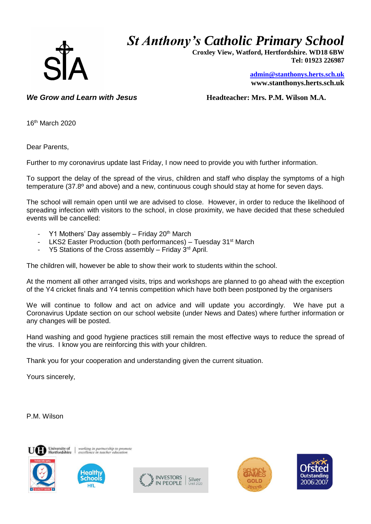

## *St Anthony's Catholic Primary School*

 **Croxley View, Watford, Hertfordshire. WD18 6BW Tel: 01923 226987** 

> **[admin@stanthonys.herts.sch.uk](mailto:admin.stanthonys@thegrid.org.uk) www.stanthonys.herts.sch.uk**

*We Grow and Learn with Jesus* **<b>***Headteacher: Mrs. P.M. Wilson M.A.* 

16th March 2020

Dear Parents,

Further to my coronavirus update last Friday, I now need to provide you with further information.

To support the delay of the spread of the virus, children and staff who display the symptoms of a high temperature (37.8º and above) and a new, continuous cough should stay at home for seven days.

The school will remain open until we are advised to close. However, in order to reduce the likelihood of spreading infection with visitors to the school, in close proximity, we have decided that these scheduled events will be cancelled:

- Y1 Mothers' Day assembly Friday  $20<sup>th</sup>$  March
- LKS2 Easter Production (both performances) Tuesday 31<sup>st</sup> March
- $Y5$  Stations of the Cross assembly Friday  $3<sup>rd</sup>$  April.

The children will, however be able to show their work to students within the school.

At the moment all other arranged visits, trips and workshops are planned to go ahead with the exception of the Y4 cricket finals and Y4 tennis competition which have both been postponed by the organisers

We will continue to follow and act on advice and will update you accordingly. We have put a Coronavirus Update section on our school website (under News and Dates) where further information or any changes will be posted.

Hand washing and good hygiene practices still remain the most effective ways to reduce the spread of the virus. I know you are reinforcing this with your children.

Thank you for your cooperation and understanding given the current situation.

Yours sincerely,

P.M. Wilson





working in partnership to pron<br>excellence in teacher educatio